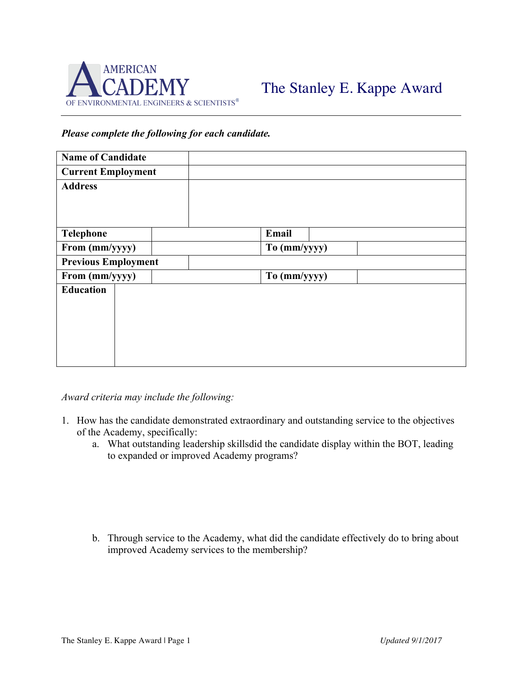

## *Please complete the following for each candidate.*

| <b>Name of Candidate</b>   |  |              |
|----------------------------|--|--------------|
| <b>Current Employment</b>  |  |              |
| <b>Address</b>             |  |              |
|                            |  |              |
|                            |  |              |
| Telephone                  |  | Email        |
| From (mm/yyyy)             |  | To (mm/yyyy) |
| <b>Previous Employment</b> |  |              |
| From (mm/yyyy)             |  | To (mm/yyyy) |
| <b>Education</b>           |  |              |
|                            |  |              |
|                            |  |              |
|                            |  |              |
|                            |  |              |
|                            |  |              |

*Award criteria may include the following:*

- 1. How has the candidate demonstrated extraordinary and outstanding service to the objectives of the Academy, specifically:
	- a. What outstanding leadership skillsdid the candidate display within the BOT, leading to expanded or improved Academy programs?

b. Through service to the Academy, what did the candidate effectively do to bring about improved Academy services to the membership?